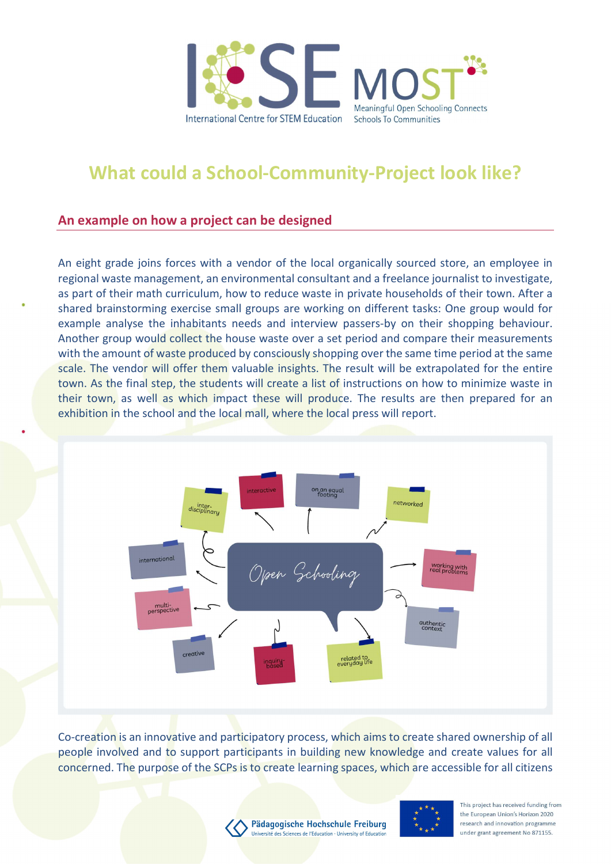

## What could a School-Community-Project look like?

## An example on how a project can be designed

An eight grade joins forces with a vendor of the local organically sourced store, an employee in regional waste management, an environmental consultant and a freelance journalist to investigate, as part of their math curriculum, how to reduce waste in private households of their town. After a shared brainstorming exercise small groups are working on different tasks: One group would for example analyse the inhabitants needs and interview passers-by on their shopping behaviour. Another group would collect the house waste over a set period and compare their measurements with the amount of waste produced by consciously shopping over the same time period at the same scale. The vendor will offer them valuable insights. The result will be extrapolated for the entire town. As the final step, the students will create a list of instructions on how to minimize waste in their town, as well as which impact these will produce. The results are then prepared for an exhibition in the school and the local mall, where the local press will report.



Co-creation is an innovative and participatory process, which aims to create shared ownership of all people involved and to support participants in building new knowledge and create values for all concerned. The purpose of the SCPs is to create learning spaces, which are accessible for all citizens





This project has received funding from the European Union's Horizon 2020 research and innovation programme under grant agreement No 871155.